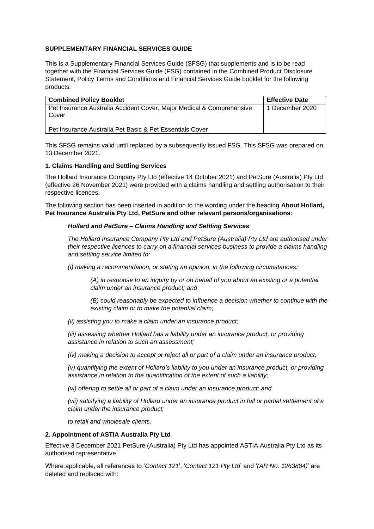# **SUPPLEMENTARY FINANCIAL SERVICES GUIDE**

This is a Supplementary Financial Services Guide (SFSG) that supplements and is to be read together with the Financial Services Guide (FSG) contained in the Combined Product Disclosure Statement, Policy Terms and Conditions and Financial Services Guide booklet for the following products:

| <b>Combined Policy Booklet</b>                                                 | <b>Effective Date</b> |
|--------------------------------------------------------------------------------|-----------------------|
| Pet Insurance Australia Accident Cover, Major Medical & Comprehensive<br>Cover | 1 December 2020       |
| Pet Insurance Australia Pet Basic & Pet Essentials Cover                       |                       |

This SFSG remains valid until replaced by a subsequently issued FSG. This SFSG was prepared on 13 December 2021.

## **1. Claims Handling and Settling Services**

The Hollard Insurance Company Pty Ltd (effective 14 October 2021) and PetSure (Australia) Pty Ltd (effective 26 November 2021) were provided with a claims handling and settling authorisation to their respective licences.

The following section has been inserted in addition to the wording under the heading **About Hollard, Pet Insurance Australia Pty Ltd, PetSure and other relevant persons/organisations**:

## *Hollard and PetSure – Claims Handling and Settling Services*

*The Hollard Insurance Company Pty Ltd and PetSure (Australia) Pty Ltd are authorised under their respective licences to carry on a financial services business to provide a claims handling and settling service limited to:*

*(i) making a recommendation, or stating an opinion, in the following circumstances:* 

*(A) in response to an inquiry by or on behalf of you about an existing or a potential claim under an insurance product; and* 

*(B) could reasonably be expected to influence a decision whether to continue with the existing claim or to make the potential claim;* 

*(ii) assisting you to make a claim under an insurance product;* 

*(iii) assessing whether Hollard has a liability under an insurance product, or providing assistance in relation to such an assessment;* 

*(iv) making a decision to accept or reject all or part of a claim under an insurance product;* 

*(v) quantifying the extent of Hollard's liability to you under an insurance product, or providing assistance in relation to the quantification of the extent of such a liability;* 

*(vi) offering to settle all or part of a claim under an insurance product; and* 

*(vii) satisfying a liability of Hollard under an insurance product in full or partial settlement of a claim under the insurance product;* 

*to retail and wholesale clients.*

#### **2. Appointment of ASTIA Australia Pty Ltd**

Effective 3 December 2021 PetSure (Australia) Pty Ltd has appointed ASTIA Australia Pty Ltd as its authorised representative.

Where applicable, all references to '*Contact 121*', '*Contact 121 Pty Ltd*' and '*(AR No. 1263884)*' are deleted and replaced with: